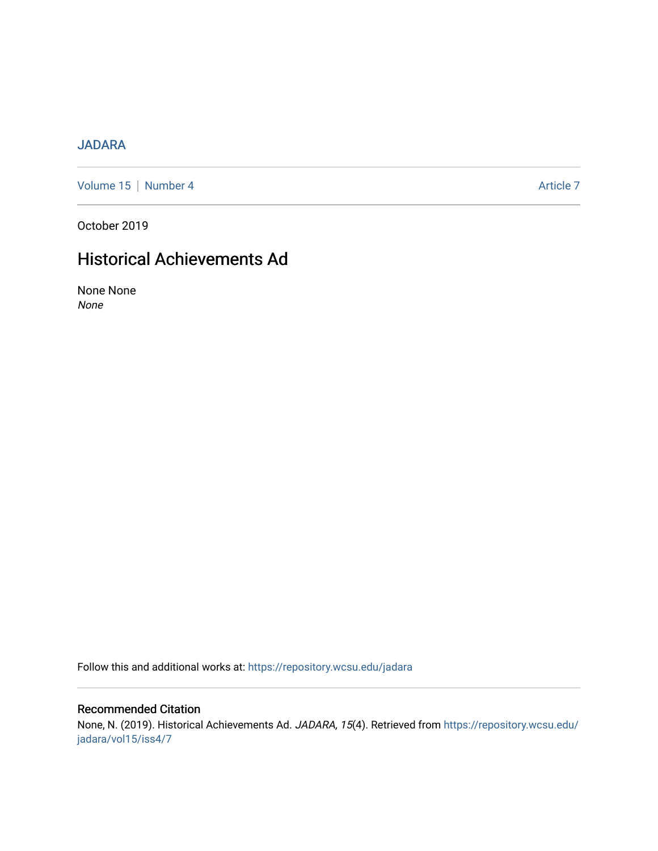### [JADARA](https://repository.wcsu.edu/jadara)

[Volume 15](https://repository.wcsu.edu/jadara/vol15) | [Number 4](https://repository.wcsu.edu/jadara/vol15/iss4) Article 7

October 2019

## Historical Achievements Ad

None None None

Follow this and additional works at: [https://repository.wcsu.edu/jadara](https://repository.wcsu.edu/jadara?utm_source=repository.wcsu.edu%2Fjadara%2Fvol15%2Fiss4%2F7&utm_medium=PDF&utm_campaign=PDFCoverPages)

### Recommended Citation

None, N. (2019). Historical Achievements Ad. JADARA, 15(4). Retrieved from [https://repository.wcsu.edu/](https://repository.wcsu.edu/jadara/vol15/iss4/7?utm_source=repository.wcsu.edu%2Fjadara%2Fvol15%2Fiss4%2F7&utm_medium=PDF&utm_campaign=PDFCoverPages) [jadara/vol15/iss4/7](https://repository.wcsu.edu/jadara/vol15/iss4/7?utm_source=repository.wcsu.edu%2Fjadara%2Fvol15%2Fiss4%2F7&utm_medium=PDF&utm_campaign=PDFCoverPages)